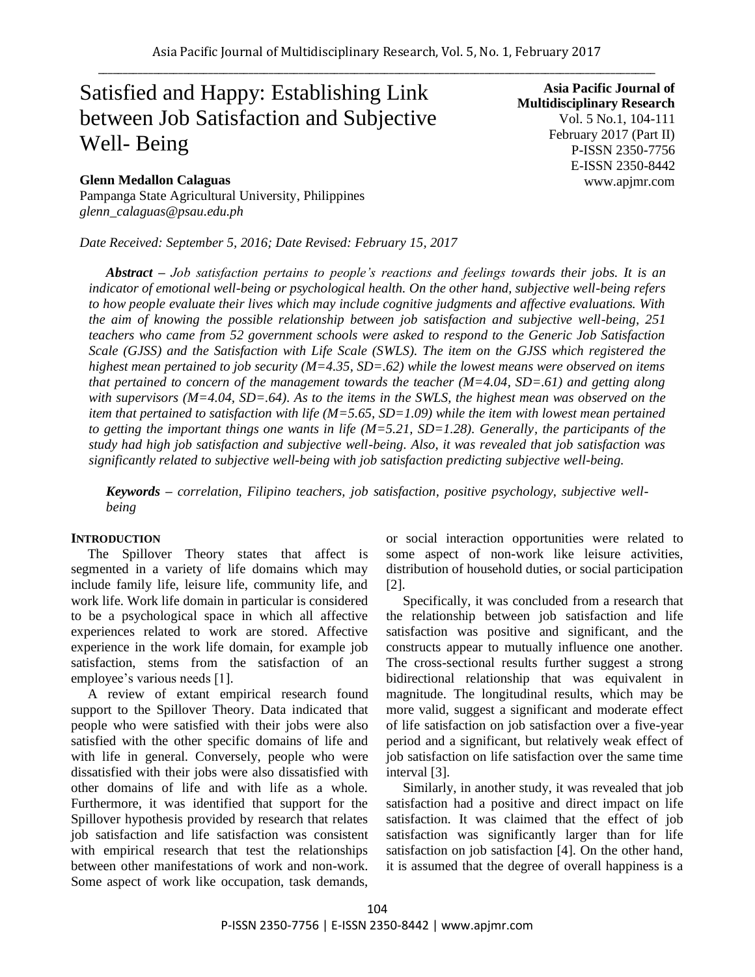# Satisfied and Happy: Establishing Link between Job Satisfaction and Subjective Well- Being

#### **Glenn Medallon Calaguas**

Pampanga State Agricultural University, Philippines *glenn\_calaguas@psau.edu.ph*

*Date Received: September 5, 2016; Date Revised: February 15, 2017*

**Asia Pacific Journal of Multidisciplinary Research** Vol. 5 No.1, 104-111 February 2017 (Part II) P-ISSN 2350-7756 E-ISSN 2350-8442 www.apjmr.com

*Abstract – Job satisfaction pertains to people's reactions and feelings towards their jobs. It is an indicator of emotional well-being or psychological health. On the other hand, subjective well-being refers to how people evaluate their lives which may include cognitive judgments and affective evaluations. With the aim of knowing the possible relationship between job satisfaction and subjective well-being, 251 teachers who came from 52 government schools were asked to respond to the Generic Job Satisfaction Scale (GJSS) and the Satisfaction with Life Scale (SWLS). The item on the GJSS which registered the highest mean pertained to job security (M=4.35, SD=.62) while the lowest means were observed on items that pertained to concern of the management towards the teacher (M=4.04, SD=.61) and getting along with supervisors (M=4.04, SD=.64). As to the items in the SWLS, the highest mean was observed on the item that pertained to satisfaction with life (M=5.65, SD=1.09) while the item with lowest mean pertained to getting the important things one wants in life (M=5.21, SD=1.28). Generally, the participants of the study had high job satisfaction and subjective well-being. Also, it was revealed that job satisfaction was significantly related to subjective well-being with job satisfaction predicting subjective well-being.*

*Keywords – correlation, Filipino teachers, job satisfaction, positive psychology, subjective wellbeing*

#### **INTRODUCTION**

The Spillover Theory states that affect is segmented in a variety of life domains which may include family life, leisure life, community life, and work life. Work life domain in particular is considered to be a psychological space in which all affective experiences related to work are stored. Affective experience in the work life domain, for example job satisfaction, stems from the satisfaction of an employee's various needs [1].

A review of extant empirical research found support to the Spillover Theory. Data indicated that people who were satisfied with their jobs were also satisfied with the other specific domains of life and with life in general. Conversely, people who were dissatisfied with their jobs were also dissatisfied with other domains of life and with life as a whole. Furthermore, it was identified that support for the Spillover hypothesis provided by research that relates job satisfaction and life satisfaction was consistent with empirical research that test the relationships between other manifestations of work and non-work. Some aspect of work like occupation, task demands,

or social interaction opportunities were related to some aspect of non-work like leisure activities, distribution of household duties, or social participation [2].

Specifically, it was concluded from a research that the relationship between job satisfaction and life satisfaction was positive and significant, and the constructs appear to mutually influence one another. The cross-sectional results further suggest a strong bidirectional relationship that was equivalent in magnitude. The longitudinal results, which may be more valid, suggest a significant and moderate effect of life satisfaction on job satisfaction over a five-year period and a significant, but relatively weak effect of job satisfaction on life satisfaction over the same time interval [3].

Similarly, in another study, it was revealed that job satisfaction had a positive and direct impact on life satisfaction. It was claimed that the effect of job satisfaction was significantly larger than for life satisfaction on job satisfaction [4]. On the other hand, it is assumed that the degree of overall happiness is a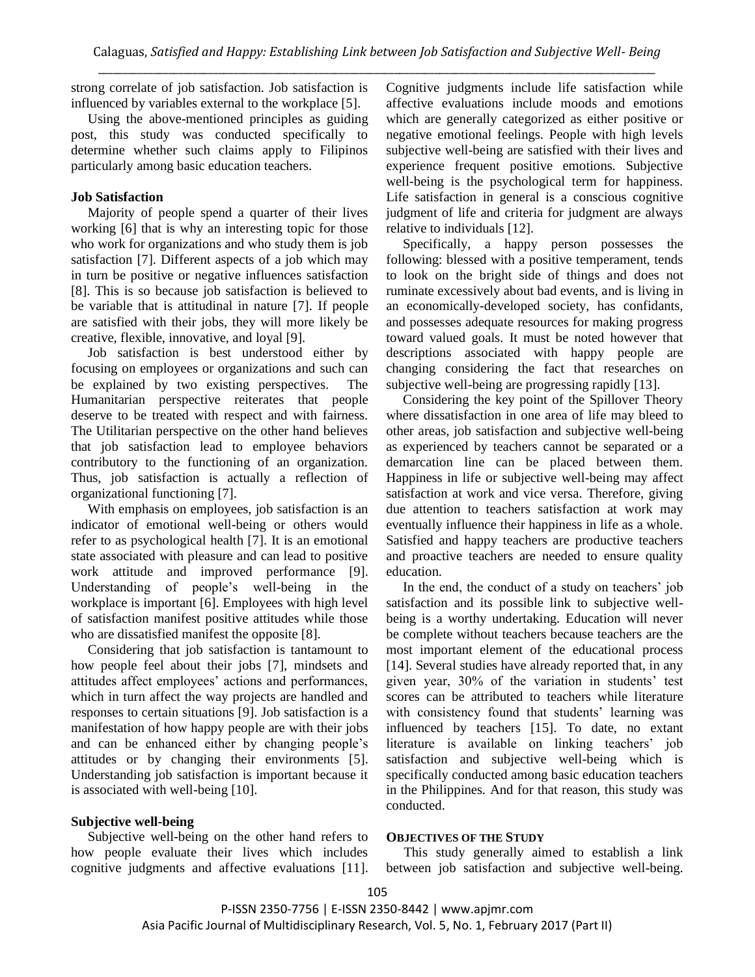strong correlate of job satisfaction. Job satisfaction is influenced by variables external to the workplace [5].

Using the above-mentioned principles as guiding post, this study was conducted specifically to determine whether such claims apply to Filipinos particularly among basic education teachers.

### **Job Satisfaction**

Majority of people spend a quarter of their lives working [6] that is why an interesting topic for those who work for organizations and who study them is job satisfaction [7]. Different aspects of a job which may in turn be positive or negative influences satisfaction [8]. This is so because job satisfaction is believed to be variable that is attitudinal in nature [7]. If people are satisfied with their jobs, they will more likely be creative, flexible, innovative, and loyal [9].

Job satisfaction is best understood either by focusing on employees or organizations and such can be explained by two existing perspectives. The Humanitarian perspective reiterates that people deserve to be treated with respect and with fairness. The Utilitarian perspective on the other hand believes that job satisfaction lead to employee behaviors contributory to the functioning of an organization. Thus, job satisfaction is actually a reflection of organizational functioning [7].

With emphasis on employees, job satisfaction is an indicator of emotional well-being or others would refer to as psychological health [7]. It is an emotional state associated with pleasure and can lead to positive work attitude and improved performance [9]. Understanding of people's well-being in the workplace is important [6]. Employees with high level of satisfaction manifest positive attitudes while those who are dissatisfied manifest the opposite [8].

Considering that job satisfaction is tantamount to how people feel about their jobs [7], mindsets and attitudes affect employees' actions and performances, which in turn affect the way projects are handled and responses to certain situations [9]. Job satisfaction is a manifestation of how happy people are with their jobs and can be enhanced either by changing people's attitudes or by changing their environments [5]. Understanding job satisfaction is important because it is associated with well-being [10].

## **Subjective well-being**

Subjective well-being on the other hand refers to how people evaluate their lives which includes cognitive judgments and affective evaluations [11]. Cognitive judgments include life satisfaction while affective evaluations include moods and emotions which are generally categorized as either positive or negative emotional feelings. People with high levels subjective well-being are satisfied with their lives and experience frequent positive emotions. Subjective well-being is the psychological term for happiness. Life satisfaction in general is a conscious cognitive judgment of life and criteria for judgment are always relative to individuals [12].

Specifically, a happy person possesses the following: blessed with a positive temperament, tends to look on the bright side of things and does not ruminate excessively about bad events, and is living in an economically-developed society, has confidants, and possesses adequate resources for making progress toward valued goals. It must be noted however that descriptions associated with happy people are changing considering the fact that researches on subjective well-being are progressing rapidly [13].

Considering the key point of the Spillover Theory where dissatisfaction in one area of life may bleed to other areas, job satisfaction and subjective well-being as experienced by teachers cannot be separated or a demarcation line can be placed between them. Happiness in life or subjective well-being may affect satisfaction at work and vice versa. Therefore, giving due attention to teachers satisfaction at work may eventually influence their happiness in life as a whole. Satisfied and happy teachers are productive teachers and proactive teachers are needed to ensure quality education.

In the end, the conduct of a study on teachers' job satisfaction and its possible link to subjective wellbeing is a worthy undertaking. Education will never be complete without teachers because teachers are the most important element of the educational process [14]. Several studies have already reported that, in any given year, 30% of the variation in students' test scores can be attributed to teachers while literature with consistency found that students' learning was influenced by teachers [15]. To date, no extant literature is available on linking teachers' job satisfaction and subjective well-being which is specifically conducted among basic education teachers in the Philippines. And for that reason, this study was conducted.

#### **OBJECTIVES OF THE STUDY**

This study generally aimed to establish a link between job satisfaction and subjective well-being.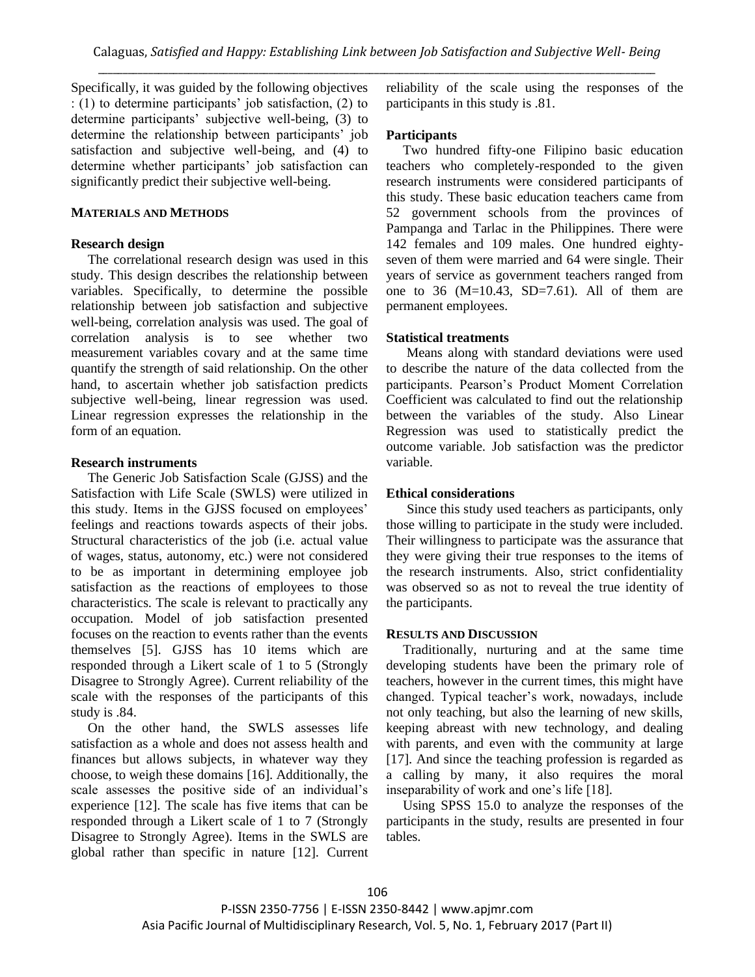Specifically, it was guided by the following objectives : (1) to determine participants' job satisfaction, (2) to determine participants' subjective well-being, (3) to determine the relationship between participants' job satisfaction and subjective well-being, and (4) to determine whether participants' job satisfaction can significantly predict their subjective well-being.

#### **MATERIALS AND METHODS**

#### **Research design**

The correlational research design was used in this study. This design describes the relationship between variables. Specifically, to determine the possible relationship between job satisfaction and subjective well-being, correlation analysis was used. The goal of correlation analysis is to see whether two measurement variables covary and at the same time quantify the strength of said relationship. On the other hand, to ascertain whether job satisfaction predicts subjective well-being, linear regression was used. Linear regression expresses the relationship in the form of an equation.

#### **Research instruments**

The Generic Job Satisfaction Scale (GJSS) and the Satisfaction with Life Scale (SWLS) were utilized in this study. Items in the GJSS focused on employees' feelings and reactions towards aspects of their jobs. Structural characteristics of the job (i.e. actual value of wages, status, autonomy, etc.) were not considered to be as important in determining employee job satisfaction as the reactions of employees to those characteristics. The scale is relevant to practically any occupation. Model of job satisfaction presented focuses on the reaction to events rather than the events themselves [5]. GJSS has 10 items which are responded through a Likert scale of 1 to 5 (Strongly Disagree to Strongly Agree). Current reliability of the scale with the responses of the participants of this study is .84.

On the other hand, the SWLS assesses life satisfaction as a whole and does not assess health and finances but allows subjects, in whatever way they choose, to weigh these domains [16]. Additionally, the scale assesses the positive side of an individual's experience [12]. The scale has five items that can be responded through a Likert scale of 1 to 7 (Strongly Disagree to Strongly Agree). Items in the SWLS are global rather than specific in nature [12]. Current reliability of the scale using the responses of the participants in this study is .81.

#### **Participants**

Two hundred fifty-one Filipino basic education teachers who completely-responded to the given research instruments were considered participants of this study. These basic education teachers came from 52 government schools from the provinces of Pampanga and Tarlac in the Philippines. There were 142 females and 109 males. One hundred eightyseven of them were married and 64 were single. Their years of service as government teachers ranged from one to 36 ( $M=10.43$ , SD=7.61). All of them are permanent employees.

## **Statistical treatments**

 Means along with standard deviations were used to describe the nature of the data collected from the participants. Pearson's Product Moment Correlation Coefficient was calculated to find out the relationship between the variables of the study. Also Linear Regression was used to statistically predict the outcome variable. Job satisfaction was the predictor variable.

#### **Ethical considerations**

 Since this study used teachers as participants, only those willing to participate in the study were included. Their willingness to participate was the assurance that they were giving their true responses to the items of the research instruments. Also, strict confidentiality was observed so as not to reveal the true identity of the participants.

## **RESULTS AND DISCUSSION**

Traditionally, nurturing and at the same time developing students have been the primary role of teachers, however in the current times, this might have changed. Typical teacher's work, nowadays, include not only teaching, but also the learning of new skills, keeping abreast with new technology, and dealing with parents, and even with the community at large [17]. And since the teaching profession is regarded as a calling by many, it also requires the moral inseparability of work and one's life [18].

Using SPSS 15.0 to analyze the responses of the participants in the study, results are presented in four tables.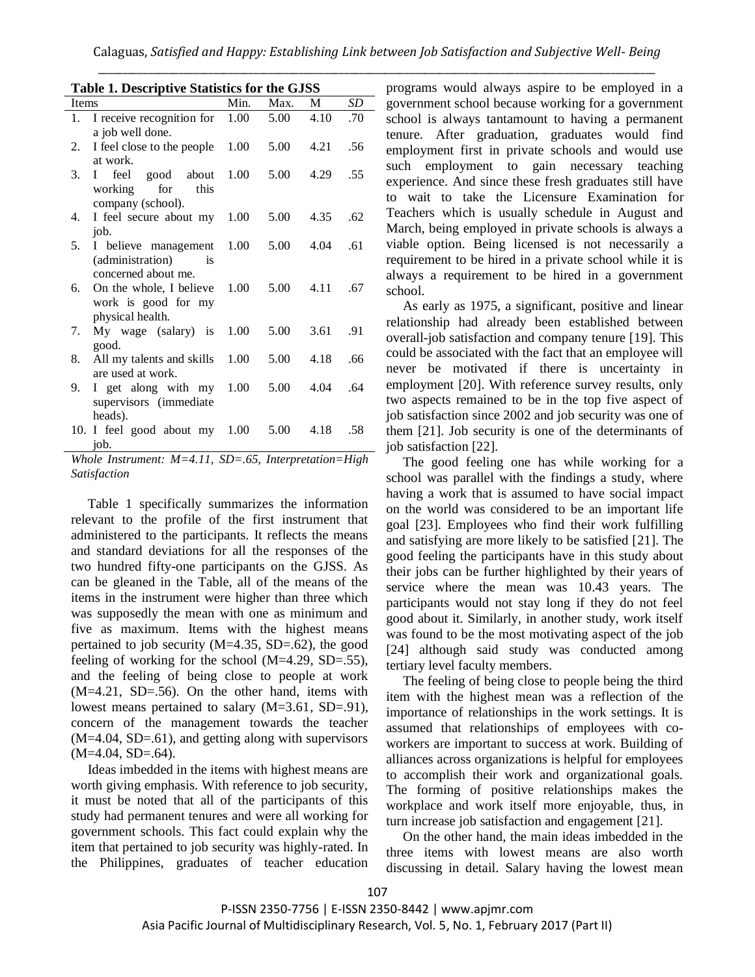| Lable 1. Descriptive Statistics for the GJSS |                                                                       |             |      |      |     |
|----------------------------------------------|-----------------------------------------------------------------------|-------------|------|------|-----|
| <b>Items</b>                                 |                                                                       | Min.        | Max. | M    | SD  |
| 1.                                           | I receive recognition for<br>a job well done.                         | 1.00        | 5.00 | 4.10 | .70 |
| 2.                                           | I feel close to the people<br>at work.                                | 1.00        | 5.00 | 4.21 | .56 |
| 3.                                           | I feel good about<br>working<br>for<br>this<br>company (school).      | 1.00        | 5.00 | 4.29 | .55 |
| 4.                                           | I feel secure about my<br>job.                                        | 1.00        | 5.00 | 4.35 | .62 |
| 5.                                           | I believe management<br>(administration)<br>is<br>concerned about me. | 1.00        | 5.00 | 4.04 | .61 |
|                                              | 6. On the whole, I believe<br>work is good for my<br>physical health. | 1.00        | 5.00 | 4.11 | .67 |
| 7.                                           | My wage (salary) is<br>good.                                          | 1.00        | 5.00 | 3.61 | .91 |
| 8.                                           | All my talents and skills<br>are used at work.                        | 1.00        | 5.00 | 4.18 | .66 |
| 9.                                           | I get along with my<br>supervisors (immediate<br>heads).              | 1.00        | 5.00 | 4.04 | .64 |
|                                              | 10. I feel good about my<br>job.<br>$\sim$ $\sim$ $\sim$              | 1.00<br>- - | 5.00 | 4.18 | .58 |

**Table 1. Descriptive Statistics for the GJSS**

Table 1 specifically summarizes the information relevant to the profile of the first instrument that administered to the participants. It reflects the means and standard deviations for all the responses of the two hundred fifty-one participants on the GJSS. As can be gleaned in the Table, all of the means of the items in the instrument were higher than three which was supposedly the mean with one as minimum and five as maximum. Items with the highest means pertained to job security  $(M=4.35, SD=.62)$ , the good feeling of working for the school  $(M=4.29, SD=.55)$ , and the feeling of being close to people at work (M=4.21, SD=.56). On the other hand, items with lowest means pertained to salary (M=3.61, SD=.91), concern of the management towards the teacher (M=4.04, SD=.61), and getting along with supervisors  $(M=4.04, SD=.64)$ .

Ideas imbedded in the items with highest means are worth giving emphasis. With reference to job security, it must be noted that all of the participants of this study had permanent tenures and were all working for government schools. This fact could explain why the item that pertained to job security was highly-rated. In the Philippines, graduates of teacher education programs would always aspire to be employed in a government school because working for a government school is always tantamount to having a permanent tenure. After graduation, graduates would find employment first in private schools and would use such employment to gain necessary teaching experience. And since these fresh graduates still have to wait to take the Licensure Examination for Teachers which is usually schedule in August and March, being employed in private schools is always a viable option. Being licensed is not necessarily a requirement to be hired in a private school while it is always a requirement to be hired in a government school.

As early as 1975, a significant, positive and linear relationship had already been established between overall-job satisfaction and company tenure [19]. This could be associated with the fact that an employee will never be motivated if there is uncertainty in employment [20]. With reference survey results, only two aspects remained to be in the top five aspect of job satisfaction since 2002 and job security was one of them [21]. Job security is one of the determinants of job satisfaction [22].

The good feeling one has while working for a school was parallel with the findings a study, where having a work that is assumed to have social impact on the world was considered to be an important life goal [23]. Employees who find their work fulfilling and satisfying are more likely to be satisfied [21]. The good feeling the participants have in this study about their jobs can be further highlighted by their years of service where the mean was 10.43 years. The participants would not stay long if they do not feel good about it. Similarly, in another study, work itself was found to be the most motivating aspect of the job [24] although said study was conducted among tertiary level faculty members.

The feeling of being close to people being the third item with the highest mean was a reflection of the importance of relationships in the work settings. It is assumed that relationships of employees with coworkers are important to success at work. Building of alliances across organizations is helpful for employees to accomplish their work and organizational goals. The forming of positive relationships makes the workplace and work itself more enjoyable, thus, in turn increase job satisfaction and engagement [21].

On the other hand, the main ideas imbedded in the three items with lowest means are also worth discussing in detail. Salary having the lowest mean

*Whole Instrument: M=4.11, SD=.65, Interpretation=High Satisfaction*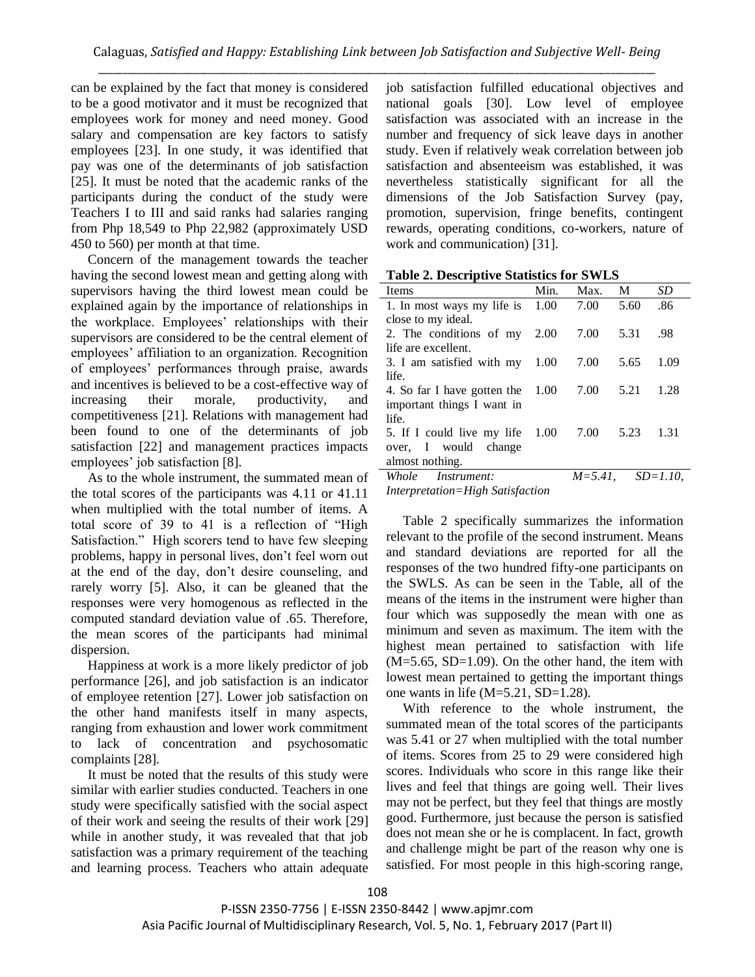can be explained by the fact that money is considered to be a good motivator and it must be recognized that employees work for money and need money. Good salary and compensation are key factors to satisfy employees [23]. In one study, it was identified that pay was one of the determinants of job satisfaction [25]. It must be noted that the academic ranks of the participants during the conduct of the study were Teachers I to III and said ranks had salaries ranging from Php 18,549 to Php 22,982 (approximately USD 450 to 560) per month at that time.

Concern of the management towards the teacher having the second lowest mean and getting along with supervisors having the third lowest mean could be explained again by the importance of relationships in the workplace. Employees' relationships with their supervisors are considered to be the central element of employees' affiliation to an organization. Recognition of employees' performances through praise, awards and incentives is believed to be a cost-effective way of increasing their morale, productivity, and competitiveness [21]. Relations with management had been found to one of the determinants of job satisfaction [22] and management practices impacts employees' job satisfaction [8].

As to the whole instrument, the summated mean of the total scores of the participants was 4.11 or 41.11 when multiplied with the total number of items. A total score of 39 to 41 is a reflection of "High Satisfaction." High scorers tend to have few sleeping problems, happy in personal lives, don't feel worn out at the end of the day, don't desire counseling, and rarely worry [5]. Also, it can be gleaned that the responses were very homogenous as reflected in the computed standard deviation value of .65. Therefore, the mean scores of the participants had minimal dispersion.

Happiness at work is a more likely predictor of job performance [26], and job satisfaction is an indicator of employee retention [27]. Lower job satisfaction on the other hand manifests itself in many aspects, ranging from exhaustion and lower work commitment to lack of concentration and psychosomatic complaints [28].

It must be noted that the results of this study were similar with earlier studies conducted. Teachers in one study were specifically satisfied with the social aspect of their work and seeing the results of their work [29] while in another study, it was revealed that that job satisfaction was a primary requirement of the teaching and learning process. Teachers who attain adequate job satisfaction fulfilled educational objectives and national goals [30]. Low level of employee satisfaction was associated with an increase in the number and frequency of sick leave days in another study. Even if relatively weak correlation between job satisfaction and absenteeism was established, it was nevertheless statistically significant for all the dimensions of the Job Satisfaction Survey (pay, promotion, supervision, fringe benefits, contingent rewards, operating conditions, co-workers, nature of work and communication) [31].

| <b>Table 2. Descriptive Statistics for SWLS</b> |  |  |
|-------------------------------------------------|--|--|
|                                                 |  |  |

| <b>Items</b>                                                             | Min. | Max.                       | $\mathbf{M}$ | SD    |
|--------------------------------------------------------------------------|------|----------------------------|--------------|-------|
| 1. In most ways my life is $1.00$                                        |      | 7.00                       | 5.60         | .86   |
| close to my ideal.                                                       |      |                            |              |       |
| 2. The conditions of $my$ 2.00                                           |      | 7.00                       | 5.31         | .98   |
| life are excellent.                                                      |      |                            |              |       |
| 3. I am satisfied with my 1.00                                           |      | 7.00                       | 5.65         | 1.09  |
| life.                                                                    |      |                            |              |       |
| 4. So far I have gotten the 1.00                                         |      | 7.00                       | 5.21         | 1.28  |
| important things I want in                                               |      |                            |              |       |
| life.                                                                    |      |                            |              |       |
| 5. If I could live my life 1.00 7.00                                     |      |                            | 5.23         | -1.31 |
| over, I would change                                                     |      |                            |              |       |
| almost nothing.                                                          |      |                            |              |       |
| Whole Instrument:                                                        |      | $M = 5.41$ , $SD = 1.10$ , |              |       |
| $\mathbf{r}$ , $\mathbf{r}$ , $\mathbf{r}$ , $\mathbf{r}$ , $\mathbf{r}$ |      |                            |              |       |

*Interpretation=High Satisfaction*

Table 2 specifically summarizes the information relevant to the profile of the second instrument. Means and standard deviations are reported for all the responses of the two hundred fifty-one participants on the SWLS. As can be seen in the Table, all of the means of the items in the instrument were higher than four which was supposedly the mean with one as minimum and seven as maximum. The item with the highest mean pertained to satisfaction with life  $(M=5.65, SD=1.09)$ . On the other hand, the item with lowest mean pertained to getting the important things one wants in life  $(M=5.21, SD=1.28)$ .

With reference to the whole instrument, the summated mean of the total scores of the participants was 5.41 or 27 when multiplied with the total number of items. Scores from 25 to 29 were considered high scores. Individuals who score in this range like their lives and feel that things are going well. Their lives may not be perfect, but they feel that things are mostly good. Furthermore, just because the person is satisfied does not mean she or he is complacent. In fact, growth and challenge might be part of the reason why one is satisfied. For most people in this high-scoring range,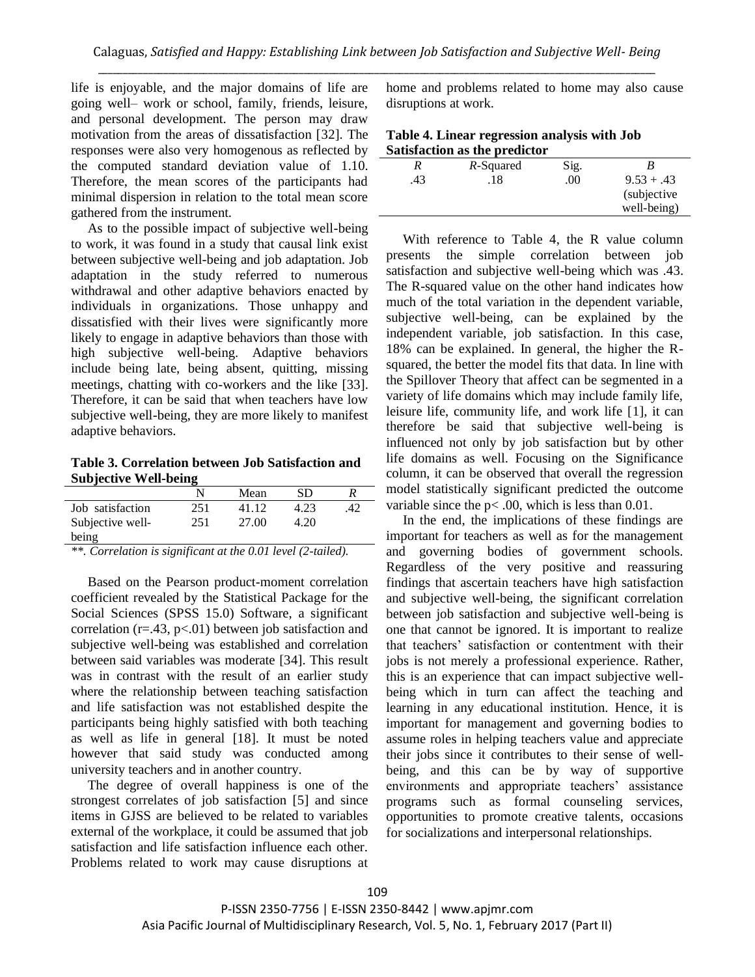life is enjoyable, and the major domains of life are going well– work or school, family, friends, leisure, and personal development. The person may draw motivation from the areas of dissatisfaction [32]. The responses were also very homogenous as reflected by the computed standard deviation value of 1.10. Therefore, the mean scores of the participants had minimal dispersion in relation to the total mean score gathered from the instrument.

As to the possible impact of subjective well-being to work, it was found in a study that causal link exist between subjective well-being and job adaptation. Job adaptation in the study referred to numerous withdrawal and other adaptive behaviors enacted by individuals in organizations. Those unhappy and dissatisfied with their lives were significantly more likely to engage in adaptive behaviors than those with high subjective well-being. Adaptive behaviors include being late, being absent, quitting, missing meetings, chatting with co-workers and the like [33]. Therefore, it can be said that when teachers have low subjective well-being, they are more likely to manifest adaptive behaviors.

**Table 3. Correlation between Job Satisfaction and Subjective Well-being**

|                  | N   | Mean  | SD   |     |
|------------------|-----|-------|------|-----|
| Job satisfaction | 251 | 41.12 | 4.23 | .42 |
| Subjective well- | 251 | 27.00 | 4.20 |     |
| being            |     |       |      |     |

*\*\*. Correlation is significant at the 0.01 level (2-tailed).*

Based on the Pearson product-moment correlation coefficient revealed by the Statistical Package for the Social Sciences (SPSS 15.0) Software, a significant correlation ( $r=43$ ,  $p<01$ ) between job satisfaction and subjective well-being was established and correlation between said variables was moderate [34]. This result was in contrast with the result of an earlier study where the relationship between teaching satisfaction and life satisfaction was not established despite the participants being highly satisfied with both teaching as well as life in general [18]. It must be noted however that said study was conducted among university teachers and in another country.

The degree of overall happiness is one of the strongest correlates of job satisfaction [5] and since items in GJSS are believed to be related to variables external of the workplace, it could be assumed that job satisfaction and life satisfaction influence each other. Problems related to work may cause disruptions at home and problems related to home may also cause disruptions at work.

| Table 4. Linear regression analysis with Job |  |
|----------------------------------------------|--|
| Satisfaction as the predictor                |  |

|     | sausiacuon as uic pregievi |      |              |
|-----|----------------------------|------|--------------|
|     | R-Squared                  | Sig. |              |
| .43 | .18                        | .00  | $9.53 + .43$ |
|     |                            |      | (subjective) |
|     |                            |      | well-being)  |

With reference to Table 4, the R value column presents the simple correlation between job satisfaction and subjective well-being which was .43. The R-squared value on the other hand indicates how much of the total variation in the dependent variable, subjective well-being, can be explained by the independent variable, job satisfaction. In this case, 18% can be explained. In general, the higher the Rsquared, the better the model fits that data. In line with the Spillover Theory that affect can be segmented in a variety of life domains which may include family life, leisure life, community life, and work life [1], it can therefore be said that subjective well-being is influenced not only by job satisfaction but by other life domains as well. Focusing on the Significance column, it can be observed that overall the regression model statistically significant predicted the outcome variable since the  $p<.00$ , which is less than 0.01.

In the end, the implications of these findings are important for teachers as well as for the management and governing bodies of government schools. Regardless of the very positive and reassuring findings that ascertain teachers have high satisfaction and subjective well-being, the significant correlation between job satisfaction and subjective well-being is one that cannot be ignored. It is important to realize that teachers' satisfaction or contentment with their jobs is not merely a professional experience. Rather, this is an experience that can impact subjective wellbeing which in turn can affect the teaching and learning in any educational institution. Hence, it is important for management and governing bodies to assume roles in helping teachers value and appreciate their jobs since it contributes to their sense of wellbeing, and this can be by way of supportive environments and appropriate teachers' assistance programs such as formal counseling services, opportunities to promote creative talents, occasions for socializations and interpersonal relationships.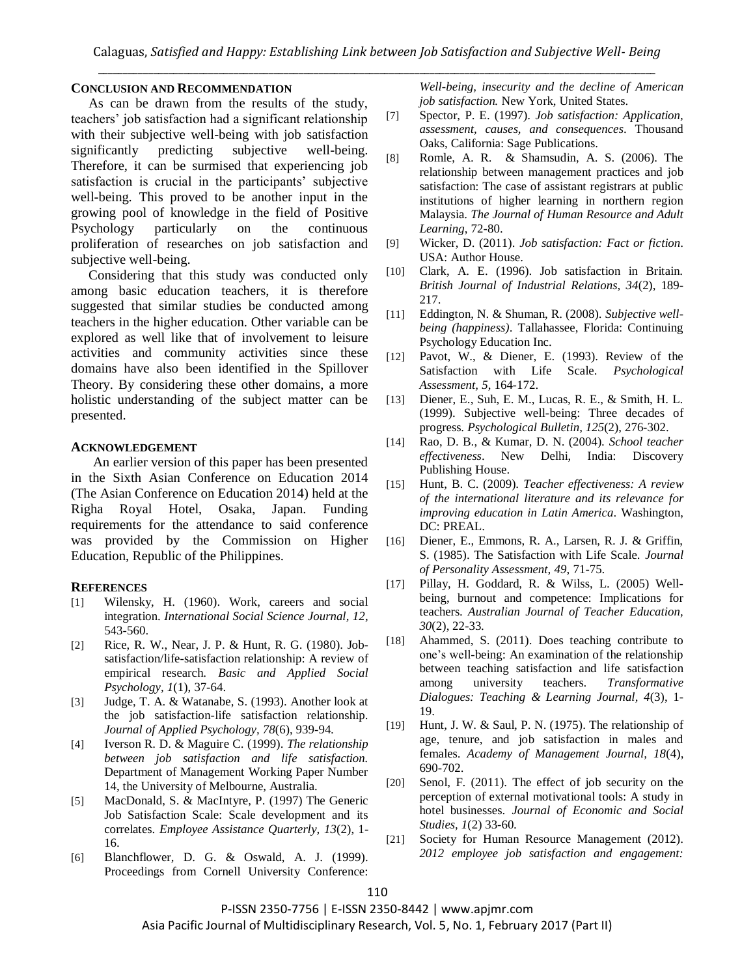#### **CONCLUSION AND RECOMMENDATION**

As can be drawn from the results of the study, teachers' job satisfaction had a significant relationship with their subjective well-being with job satisfaction significantly predicting subjective well-being. Therefore, it can be surmised that experiencing job satisfaction is crucial in the participants' subjective well-being. This proved to be another input in the growing pool of knowledge in the field of Positive Psychology particularly on the continuous proliferation of researches on job satisfaction and subjective well-being.

Considering that this study was conducted only among basic education teachers, it is therefore suggested that similar studies be conducted among teachers in the higher education. Other variable can be explored as well like that of involvement to leisure activities and community activities since these domains have also been identified in the Spillover Theory. By considering these other domains, a more holistic understanding of the subject matter can be presented.

#### **ACKNOWLEDGEMENT**

An earlier version of this paper has been presented in the Sixth Asian Conference on Education 2014 (The Asian Conference on Education 2014) held at the Righa Royal Hotel, Osaka, Japan. Funding requirements for the attendance to said conference was provided by the Commission on Higher Education, Republic of the Philippines.

#### **REFERENCES**

- [1] Wilensky, H. (1960). Work, careers and social integration. *International Social Science Journal, 12*, 543-560.
- [2] Rice, R. W., Near, J. P. & Hunt, R. G. (1980). Jobsatisfaction/life-satisfaction relationship: A review of empirical research. *Basic and Applied Social Psychology, 1*(1), 37-64.
- [3] Judge, T. A. & Watanabe, S. (1993). Another look at the job satisfaction-life satisfaction relationship. *Journal of Applied Psychology, 78*(6), 939-94.
- [4] Iverson R. D. & Maguire C. (1999). *The relationship between job satisfaction and life satisfaction.* Department of Management Working Paper Number 14, the University of Melbourne, Australia.
- [5] MacDonald, S. & MacIntyre, P. (1997) The Generic Job Satisfaction Scale: Scale development and its correlates. *Employee Assistance Quarterly, 13*(2), 1- 16.
- [6] Blanchflower, D. G. & Oswald, A. J. (1999). Proceedings from Cornell University Conference:

*Well-being, insecurity and the decline of American job satisfaction.* New York, United States.

- [7] Spector, P. E. (1997). *Job satisfaction: Application, assessment, causes, and consequences*. Thousand Oaks, California: Sage Publications.
- [8] Romle, A. R. & Shamsudin, A. S. (2006). The relationship between management practices and job satisfaction: The case of assistant registrars at public institutions of higher learning in northern region Malaysia. *The Journal of Human Resource and Adult Learning*, 72-80.
- [9] Wicker, D. (2011). *Job satisfaction: Fact or fiction*. USA: Author House.
- [10] Clark, A. E. (1996). Job satisfaction in Britain. *British Journal of Industrial Relations, 34*(2), 189- 217.
- [11] Eddington, N. & Shuman, R. (2008). *Subjective wellbeing (happiness)*. Tallahassee, Florida: Continuing Psychology Education Inc.
- [12] Pavot, W., & Diener, E. (1993). Review of the Satisfaction with Life Scale. *Psychological Assessment, 5*, 164-172.
- [13] Diener, E., Suh, E. M., Lucas, R. E., & Smith, H. L. (1999). Subjective well-being: Three decades of progress. *Psychological Bulletin, 125*(2), 276-302.
- [14] Rao, D. B., & Kumar, D. N. (2004). *School teacher effectiveness*. New Delhi, India: Discovery Publishing House.
- [15] Hunt, B. C. (2009). *Teacher effectiveness: A review of the international literature and its relevance for improving education in Latin America*. Washington, DC: PREAL.
- [16] Diener, E., Emmons, R. A., Larsen, R. J. & Griffin, S. (1985). The Satisfaction with Life Scale. *Journal of Personality Assessment, 49*, 71-75.
- [17] Pillay, H. Goddard, R. & Wilss, L. (2005) Wellbeing, burnout and competence: Implications for teachers. *Australian Journal of Teacher Education, 30*(2), 22-33.
- [18] Ahammed, S. (2011). Does teaching contribute to one's well-being: An examination of the relationship between teaching satisfaction and life satisfaction among university teachers. *Transformative Dialogues: Teaching & Learning Journal, 4*(3), 1- 19.
- [19] Hunt, J. W. & Saul, P. N. (1975). The relationship of age, tenure, and job satisfaction in males and females. *Academy of Management Journal, 18*(4), 690-702.
- [20] Senol, F. (2011). The effect of job security on the perception of external motivational tools: A study in hotel businesses. *Journal of Economic and Social Studies, 1*(2) 33-60.
- [21] Society for Human Resource Management (2012). *2012 employee job satisfaction and engagement:*

P-ISSN 2350-7756 | E-ISSN 2350-8442 | www.apjmr.com

Asia Pacific Journal of Multidisciplinary Research, Vol. 5, No. 1, February 2017 (Part II)